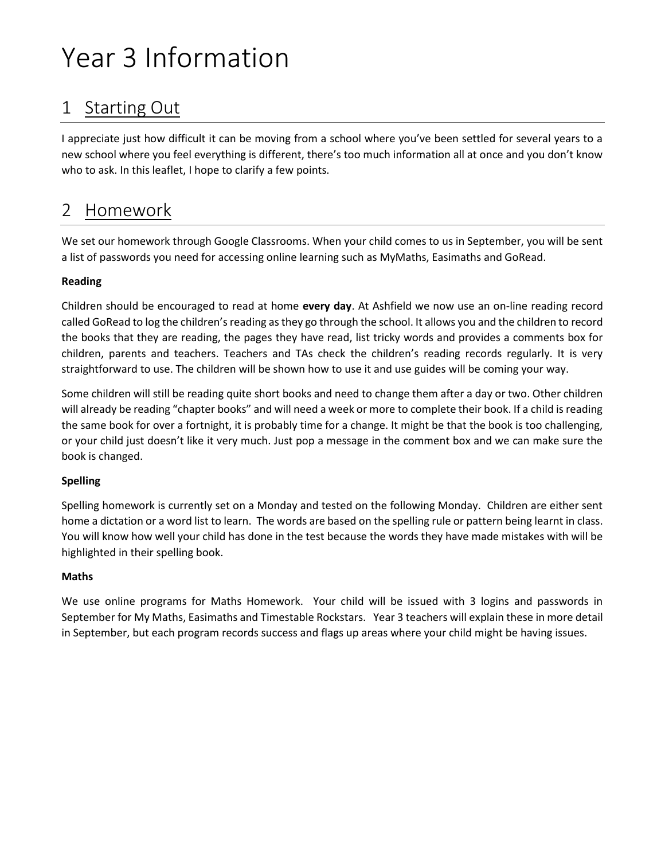# Year 3 Information

# 1 Starting Out

I appreciate just how difficult it can be moving from a school where you've been settled for several years to a new school where you feel everything is different, there's too much information all at once and you don't know who to ask. In this leaflet, I hope to clarify a few points.

### 2 Homework

We set our homework through Google Classrooms. When your child comes to us in September, you will be sent a list of passwords you need for accessing online learning such as MyMaths, Easimaths and GoRead.

#### **Reading**

Children should be encouraged to read at home **every day**. At Ashfield we now use an on-line reading record called GoRead to log the children's reading as they go through the school. It allows you and the children to record the books that they are reading, the pages they have read, list tricky words and provides a comments box for children, parents and teachers. Teachers and TAs check the children's reading records regularly. It is very straightforward to use. The children will be shown how to use it and use guides will be coming your way.

Some children will still be reading quite short books and need to change them after a day or two. Other children will already be reading "chapter books" and will need a week or more to complete their book. If a child is reading the same book for over a fortnight, it is probably time for a change. It might be that the book is too challenging, or your child just doesn't like it very much. Just pop a message in the comment box and we can make sure the book is changed.

#### **Spelling**

Spelling homework is currently set on a Monday and tested on the following Monday. Children are either sent home a dictation or a word list to learn. The words are based on the spelling rule or pattern being learnt in class. You will know how well your child has done in the test because the words they have made mistakes with will be highlighted in their spelling book.

#### **Maths**

We use online programs for Maths Homework. Your child will be issued with 3 logins and passwords in September for My Maths, Easimaths and Timestable Rockstars. Year 3 teachers will explain these in more detail in September, but each program records success and flags up areas where your child might be having issues.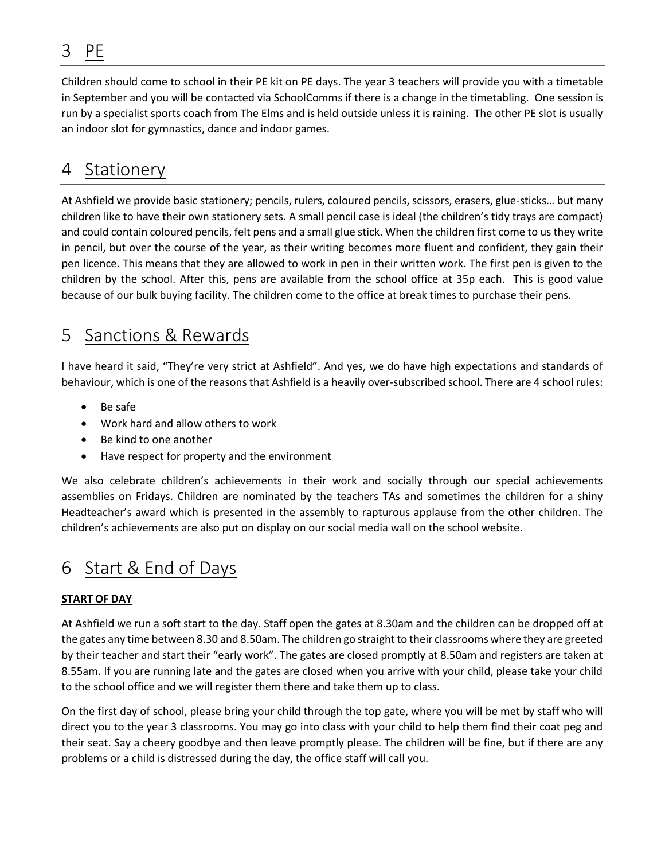# 3 PE

Children should come to school in their PE kit on PE days. The year 3 teachers will provide you with a timetable in September and you will be contacted via SchoolComms if there is a change in the timetabling. One session is run by a specialist sports coach from The Elms and is held outside unless it is raining. The other PE slot is usually an indoor slot for gymnastics, dance and indoor games.

#### 4 Stationery

At Ashfield we provide basic stationery; pencils, rulers, coloured pencils, scissors, erasers, glue-sticks… but many children like to have their own stationery sets. A small pencil case is ideal (the children's tidy trays are compact) and could contain coloured pencils, felt pens and a small glue stick. When the children first come to us they write in pencil, but over the course of the year, as their writing becomes more fluent and confident, they gain their pen licence. This means that they are allowed to work in pen in their written work. The first pen is given to the children by the school. After this, pens are available from the school office at 35p each. This is good value because of our bulk buying facility. The children come to the office at break times to purchase their pens.

### 5 Sanctions & Rewards

I have heard it said, "They're very strict at Ashfield". And yes, we do have high expectations and standards of behaviour, which is one of the reasons that Ashfield is a heavily over-subscribed school. There are 4 school rules:

- Be safe
- Work hard and allow others to work
- Be kind to one another
- Have respect for property and the environment

We also celebrate children's achievements in their work and socially through our special achievements assemblies on Fridays. Children are nominated by the teachers TAs and sometimes the children for a shiny Headteacher's award which is presented in the assembly to rapturous applause from the other children. The children's achievements are also put on display on our social media wall on the school website.

### 6 Start & End of Days

#### **START OF DAY**

At Ashfield we run a soft start to the day. Staff open the gates at 8.30am and the children can be dropped off at the gates any time between 8.30 and 8.50am. The children go straight to their classrooms where they are greeted by their teacher and start their "early work". The gates are closed promptly at 8.50am and registers are taken at 8.55am. If you are running late and the gates are closed when you arrive with your child, please take your child to the school office and we will register them there and take them up to class.

On the first day of school, please bring your child through the top gate, where you will be met by staff who will direct you to the year 3 classrooms. You may go into class with your child to help them find their coat peg and their seat. Say a cheery goodbye and then leave promptly please. The children will be fine, but if there are any problems or a child is distressed during the day, the office staff will call you.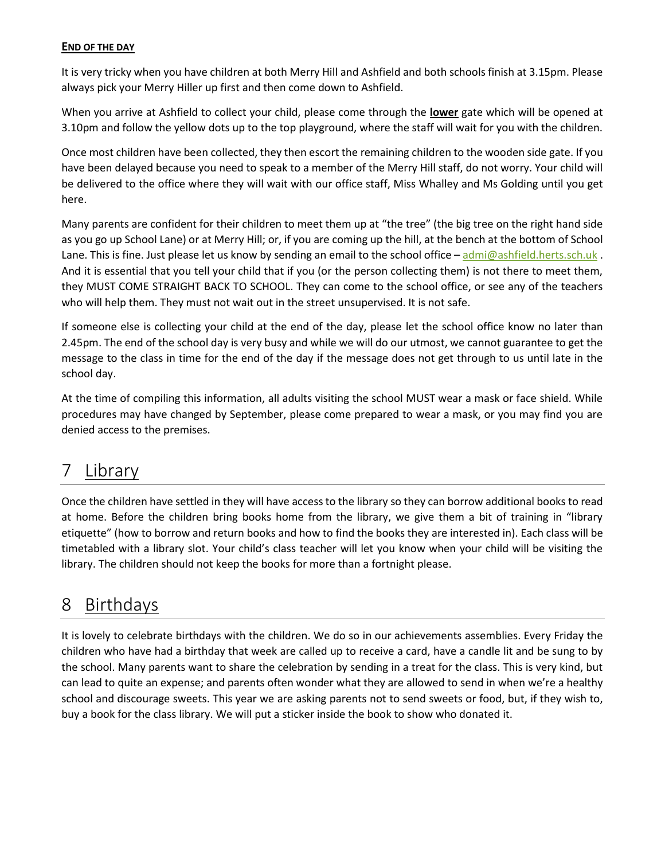#### **END OF THE DAY**

It is very tricky when you have children at both Merry Hill and Ashfield and both schools finish at 3.15pm. Please always pick your Merry Hiller up first and then come down to Ashfield.

When you arrive at Ashfield to collect your child, please come through the **lower** gate which will be opened at 3.10pm and follow the yellow dots up to the top playground, where the staff will wait for you with the children.

Once most children have been collected, they then escort the remaining children to the wooden side gate. If you have been delayed because you need to speak to a member of the Merry Hill staff, do not worry. Your child will be delivered to the office where they will wait with our office staff, Miss Whalley and Ms Golding until you get here.

Many parents are confident for their children to meet them up at "the tree" (the big tree on the right hand side as you go up School Lane) or at Merry Hill; or, if you are coming up the hill, at the bench at the bottom of School Lane. This is fine. Just please let us know by sending an email to the school office – [admi@ashfield.herts.sch.uk](mailto:admi@ashfield.herts.sch.uk). And it is essential that you tell your child that if you (or the person collecting them) is not there to meet them, they MUST COME STRAIGHT BACK TO SCHOOL. They can come to the school office, or see any of the teachers who will help them. They must not wait out in the street unsupervised. It is not safe.

If someone else is collecting your child at the end of the day, please let the school office know no later than 2.45pm. The end of the school day is very busy and while we will do our utmost, we cannot guarantee to get the message to the class in time for the end of the day if the message does not get through to us until late in the school day.

At the time of compiling this information, all adults visiting the school MUST wear a mask or face shield. While procedures may have changed by September, please come prepared to wear a mask, or you may find you are denied access to the premises.

# 7 Library

Once the children have settled in they will have access to the library so they can borrow additional books to read at home. Before the children bring books home from the library, we give them a bit of training in "library etiquette" (how to borrow and return books and how to find the books they are interested in). Each class will be timetabled with a library slot. Your child's class teacher will let you know when your child will be visiting the library. The children should not keep the books for more than a fortnight please.

### 8 Birthdays

It is lovely to celebrate birthdays with the children. We do so in our achievements assemblies. Every Friday the children who have had a birthday that week are called up to receive a card, have a candle lit and be sung to by the school. Many parents want to share the celebration by sending in a treat for the class. This is very kind, but can lead to quite an expense; and parents often wonder what they are allowed to send in when we're a healthy school and discourage sweets. This year we are asking parents not to send sweets or food, but, if they wish to, buy a book for the class library. We will put a sticker inside the book to show who donated it.